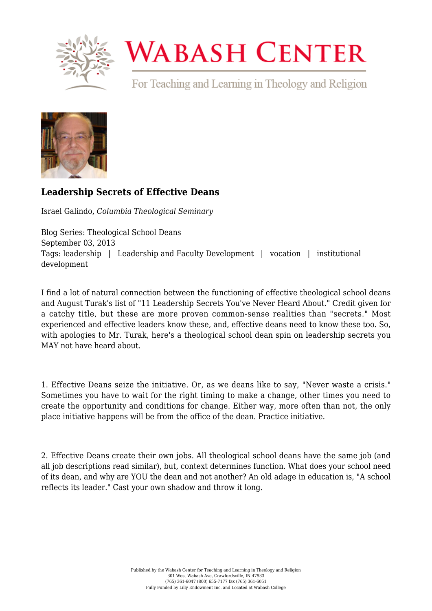

## **WABASH CENTER**

For Teaching and Learning in Theology and Religion



## **[Leadership Secrets of Effective Deans](https://www.wabashcenter.wabash.edu/2013/09/leadership-secrets-of-effective-deans/)**

Israel Galindo, *Columbia Theological Seminary*

Blog Series: Theological School Deans September 03, 2013 Tags: leadership | Leadership and Faculty Development | vocation | institutional development

I find a lot of natural connection between the functioning of effective theological school deans and August Turak's list of ["11 Leadership Secrets You've Never Heard About."](https://www.forbes.com/sites/augustturak/2012/07/17/the-11-leadership-secrets-you-never-heard-about/#4e1f35f919f4) Credit given for a catchy title, but these are more proven common-sense realities than "secrets." Most experienced and effective leaders know these, and, effective deans need to know these too. So, with apologies to Mr. Turak, here's a theological school dean spin on leadership secrets you MAY not have heard about.

1. Effective Deans seize the initiative. Or, as we deans like to say, "Never waste a crisis." Sometimes you have to wait for the right timing to make a change, other times you need to create the opportunity and conditions for change. Either way, more often than not, the only place initiative happens will be from the office of the dean. Practice initiative.

2. Effective Deans create their own jobs. All theological school deans have the same job (and all job descriptions read similar), but, context determines function. What does your school need of its dean, and why are YOU the dean and not another? An old adage in education is, "A school reflects its leader." Cast your own shadow and throw it long.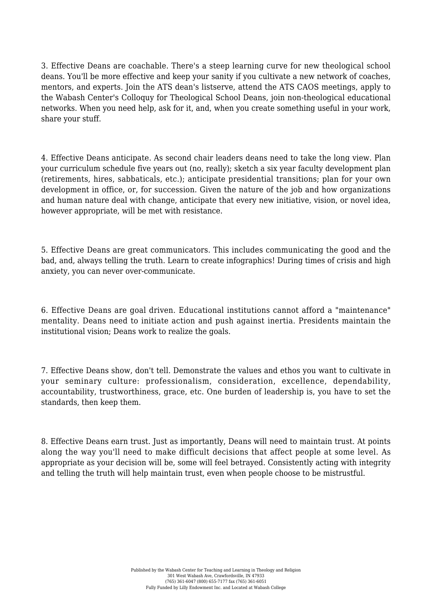3. Effective Deans are coachable. There's a steep learning curve for new theological school deans. You'll be more effective and keep your sanity if you cultivate a new network of coaches, mentors, and experts. Join the ATS dean's listserve, attend the ATS CAOS meetings, apply to the Wabash Center's Colloquy for Theological School Deans, join non-theological educational networks. When you need help, ask for it, and, when you create something useful in your work, share your stuff.

4. Effective Deans anticipate. As second chair leaders deans need to take the long view. Plan your curriculum schedule five years out (no, really); sketch a six year faculty development plan (retirements, hires, sabbaticals, etc.); anticipate presidential transitions; plan for your own development in office, or, for succession. Given the nature of the job and how organizations and human nature deal with change, anticipate that every new initiative, vision, or novel idea, however appropriate, will be met with resistance.

5. Effective Deans are great communicators. This includes communicating the good and the bad, and, always telling the truth. Learn to create infographics! During times of crisis and high anxiety, you can never over-communicate.

6. Effective Deans are goal driven. Educational institutions cannot afford a "maintenance" mentality. Deans need to initiate action and push against inertia. Presidents maintain the institutional vision; Deans work to realize the goals.

7. Effective Deans show, don't tell. Demonstrate the values and ethos you want to cultivate in your seminary culture: professionalism, consideration, excellence, dependability, accountability, trustworthiness, grace, etc. One burden of leadership is, you have to set the standards, then keep them.

8. Effective Deans earn trust. Just as importantly, Deans will need to maintain trust. At points along the way you'll need to make difficult decisions that affect people at some level. As appropriate as your decision will be, some will feel betrayed. Consistently acting with integrity and telling the truth will help maintain trust, even when people choose to be mistrustful.